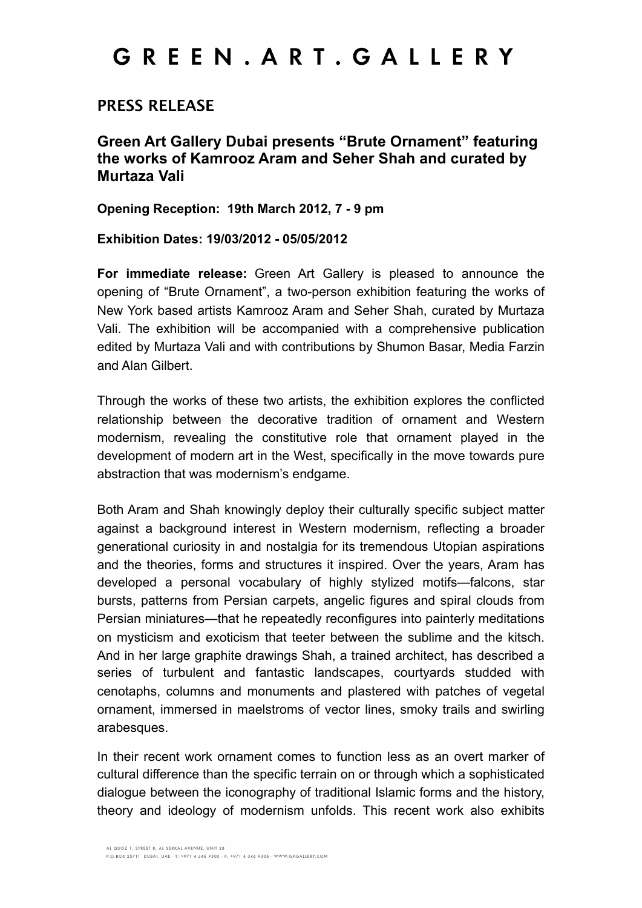## GREEN. ART. GALLERY

#### **PRESS RELEASE**

**Green Art Gallery Dubai presents "Brute Ornament" featuring the works of Kamrooz Aram and Seher Shah and curated by Murtaza Vali** 

**Opening Reception: 19th March 2012, 7 - 9 pm**

**Exhibition Dates: 19/03/2012 - 05/05/2012**

**For immediate release:** Green Art Gallery is pleased to announce the opening of "Brute Ornament", a two-person exhibition featuring the works of New York based artists Kamrooz Aram and Seher Shah, curated by Murtaza Vali. The exhibition will be accompanied with a comprehensive publication edited by Murtaza Vali and with contributions by Shumon Basar, Media Farzin and Alan Gilbert.

Through the works of these two artists, the exhibition explores the conflicted relationship between the decorative tradition of ornament and Western modernism, revealing the constitutive role that ornament played in the development of modern art in the West, specifically in the move towards pure abstraction that was modernism's endgame.

Both Aram and Shah knowingly deploy their culturally specific subject matter against a background interest in Western modernism, reflecting a broader generational curiosity in and nostalgia for its tremendous Utopian aspirations and the theories, forms and structures it inspired. Over the years, Aram has developed a personal vocabulary of highly stylized motifs—falcons, star bursts, patterns from Persian carpets, angelic figures and spiral clouds from Persian miniatures—that he repeatedly reconfigures into painterly meditations on mysticism and exoticism that teeter between the sublime and the kitsch. And in her large graphite drawings Shah, a trained architect, has described a series of turbulent and fantastic landscapes, courtyards studded with cenotaphs, columns and monuments and plastered with patches of vegetal ornament, immersed in maelstroms of vector lines, smoky trails and swirling arabesques.

In their recent work ornament comes to function less as an overt marker of cultural difference than the specific terrain on or through which a sophisticated dialogue between the iconography of traditional Islamic forms and the history, theory and ideology of modernism unfolds. This recent work also exhibits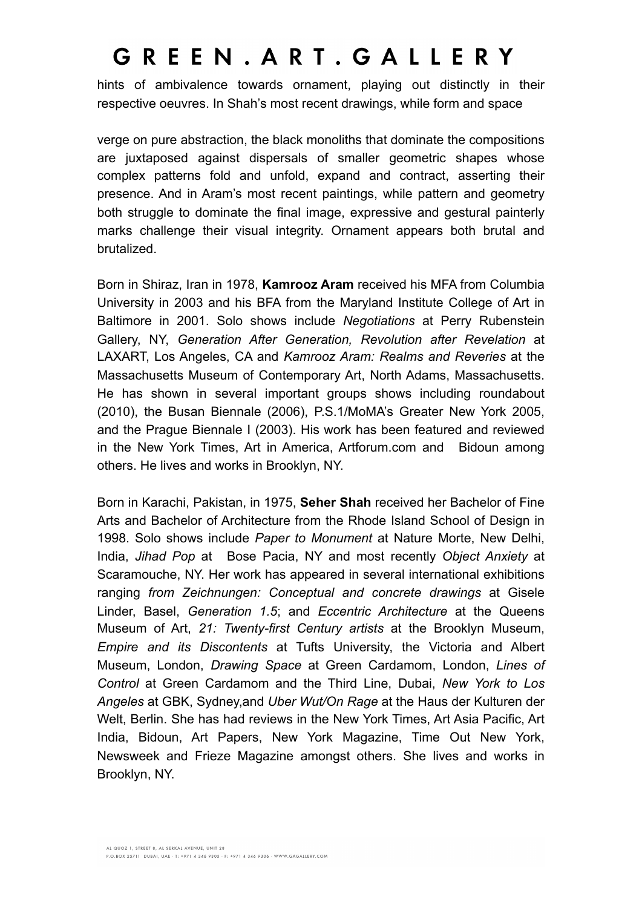## GREEN. ART. GALLERY

hints of ambivalence towards ornament, playing out distinctly in their respective oeuvres. In Shah's most recent drawings, while form and space

verge on pure abstraction, the black monoliths that dominate the compositions are juxtaposed against dispersals of smaller geometric shapes whose complex patterns fold and unfold, expand and contract, asserting their presence. And in Aram's most recent paintings, while pattern and geometry both struggle to dominate the final image, expressive and gestural painterly marks challenge their visual integrity. Ornament appears both brutal and brutalized.

Born in Shiraz, Iran in 1978, **Kamrooz Aram** received his MFA from Columbia University in 2003 and his BFA from the Maryland Institute College of Art in Baltimore in 2001. Solo shows include *Negotiations* at Perry Rubenstein Gallery, NY, *Generation After Generation, Revolution after Revelation* at LAXART, Los Angeles, CA and *Kamrooz Aram: Realms and Reveries* at the Massachusetts Museum of Contemporary Art, North Adams, Massachusetts. He has shown in several important groups shows including roundabout (2010), the Busan Biennale (2006), P.S.1/MoMA's Greater New York 2005, and the Prague Biennale I (2003). His work has been featured and reviewed in the New York Times, Art in America, Artforum.com and Bidoun among others. He lives and works in Brooklyn, NY.

Born in Karachi, Pakistan, in 1975, **Seher Shah** received her Bachelor of Fine Arts and Bachelor of Architecture from the Rhode Island School of Design in 1998. Solo shows include *Paper to Monument* at Nature Morte, New Delhi, India, *Jihad Pop* at Bose Pacia, NY and most recently *Object Anxiety* at Scaramouche, NY. Her work has appeared in several international exhibitions ranging *from Zeichnungen: Conceptual and concrete drawings* at Gisele Linder, Basel, *Generation 1.5*; and *Eccentric Architecture* at the Queens Museum of Art, *21: Twenty-first Century artists* at the Brooklyn Museum, *Empire and its Discontents* at Tufts University, the Victoria and Albert Museum, London, *Drawing Space* at Green Cardamom, London, *Lines of Control* at Green Cardamom and the Third Line, Dubai, *New York to Los Angeles* at GBK, Sydney,and *Uber Wut/On Rage* at the Haus der Kulturen der Welt, Berlin. She has had reviews in the New York Times, Art Asia Pacific, Art India, Bidoun, Art Papers, New York Magazine, Time Out New York, Newsweek and Frieze Magazine amongst others. She lives and works in Brooklyn, NY.